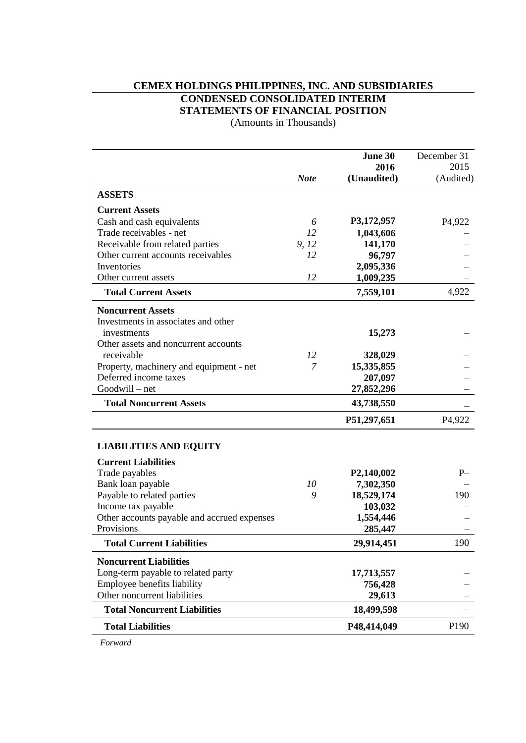# **CEMEX HOLDINGS PHILIPPINES, INC. AND SUBSIDIARIES CONDENSED CONSOLIDATED INTERIM STATEMENTS OF FINANCIAL POSITION**

(Amounts in Thousands)

|                                             |             | June 30                 | December 31         |
|---------------------------------------------|-------------|-------------------------|---------------------|
|                                             |             | 2016                    | 2015                |
|                                             | <b>Note</b> | (Unaudited)             | (Audited)           |
| <b>ASSETS</b>                               |             |                         |                     |
| <b>Current Assets</b>                       |             |                         |                     |
| Cash and cash equivalents                   | 6           | P3,172,957              | P <sub>4</sub> ,922 |
| Trade receivables - net                     | 12          | 1,043,606               |                     |
| Receivable from related parties             | 9, 12       | 141,170                 |                     |
| Other current accounts receivables          | 12          | 96,797                  |                     |
| Inventories                                 | 12          | 2,095,336               |                     |
| Other current assets                        |             | 1,009,235               |                     |
| <b>Total Current Assets</b>                 |             | 7,559,101               | 4,922               |
| <b>Noncurrent Assets</b>                    |             |                         |                     |
| Investments in associates and other         |             |                         |                     |
| investments                                 |             | 15,273                  |                     |
| Other assets and noncurrent accounts        |             |                         |                     |
| receivable                                  | 12          | 328,029                 |                     |
| Property, machinery and equipment - net     | 7           | 15,335,855              |                     |
| Deferred income taxes                       |             | 207,097                 |                     |
| Goodwill - net                              |             | 27,852,296              |                     |
| <b>Total Noncurrent Assets</b>              |             | 43,738,550              |                     |
|                                             |             | P51,297,651             | P <sub>4</sub> ,922 |
| <b>LIABILITIES AND EQUITY</b>               |             |                         |                     |
| <b>Current Liabilities</b>                  |             |                         |                     |
| Trade payables                              |             | P <sub>2</sub> ,140,002 | $P-$                |
| Bank loan payable                           | 10          | 7,302,350               |                     |
| Payable to related parties                  | 9           | 18,529,174              | 190                 |
| Income tax payable                          |             | 103,032                 |                     |
| Other accounts payable and accrued expenses |             | 1,554,446               |                     |
| Provisions                                  |             | 285,447                 |                     |
| <b>Total Current Liabilities</b>            |             | 29,914,451              | 190                 |
| <b>Noncurrent Liabilities</b>               |             |                         |                     |
| Long-term payable to related party          |             | 17,713,557              |                     |
| Employee benefits liability                 |             | 756,428                 |                     |
| Other noncurrent liabilities                |             | 29,613                  |                     |
| <b>Total Noncurrent Liabilities</b>         |             | 18,499,598              |                     |
| <b>Total Liabilities</b>                    |             | P48,414,049             | P190                |

*Forward*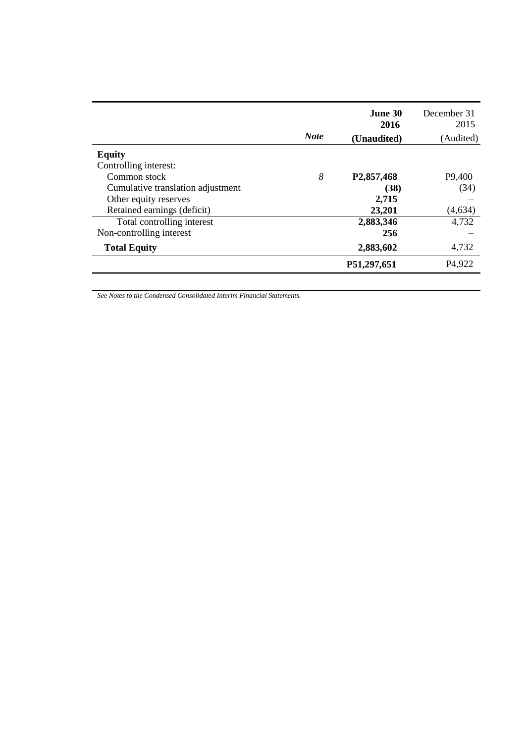| <b>Equity</b><br>Controlling interest:<br>8<br>Common stock<br>P <sub>2</sub> ,857,468<br>Cumulative translation adjustment<br>(38)<br>2,715<br>Other equity reserves<br>Retained earnings (deficit)<br>23,201<br>Total controlling interest<br>2,883,346<br>Non-controlling interest<br>256<br>2,883,602<br><b>Total Equity</b> | <b>Note</b> | June 30<br>2016<br>(Unaudited) | December 31<br>2015<br>(Audited) |
|----------------------------------------------------------------------------------------------------------------------------------------------------------------------------------------------------------------------------------------------------------------------------------------------------------------------------------|-------------|--------------------------------|----------------------------------|
|                                                                                                                                                                                                                                                                                                                                  |             |                                |                                  |
|                                                                                                                                                                                                                                                                                                                                  |             |                                |                                  |
|                                                                                                                                                                                                                                                                                                                                  |             |                                | P9,400                           |
|                                                                                                                                                                                                                                                                                                                                  |             |                                | (34)                             |
|                                                                                                                                                                                                                                                                                                                                  |             |                                |                                  |
|                                                                                                                                                                                                                                                                                                                                  |             |                                | (4,634)                          |
|                                                                                                                                                                                                                                                                                                                                  |             |                                | 4,732                            |
|                                                                                                                                                                                                                                                                                                                                  |             |                                |                                  |
|                                                                                                                                                                                                                                                                                                                                  |             |                                | 4,732                            |
| P51,297,651                                                                                                                                                                                                                                                                                                                      |             |                                | P <sub>4</sub> ,922              |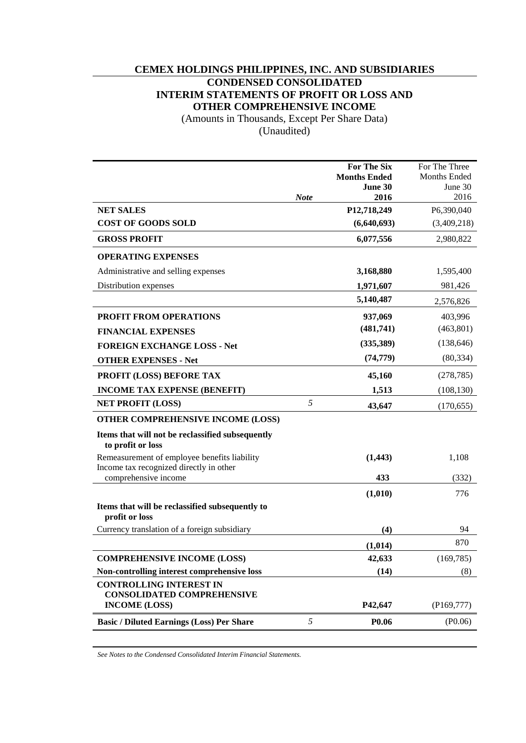# **CEMEX HOLDINGS PHILIPPINES, INC. AND SUBSIDIARIES**

# **CONDENSED CONSOLIDATED INTERIM STATEMENTS OF PROFIT OR LOSS AND**

**OTHER COMPREHENSIVE INCOME**

(Amounts in Thousands, Except Per Share Data)

(Unaudited)

|                                                                                         |             | <b>For The Six</b>  | For The Three       |
|-----------------------------------------------------------------------------------------|-------------|---------------------|---------------------|
|                                                                                         |             | <b>Months Ended</b> | <b>Months Ended</b> |
|                                                                                         |             | June 30             | June 30             |
|                                                                                         | <b>Note</b> | 2016                | 2016                |
| <b>NET SALES</b>                                                                        |             | P12,718,249         | P6,390,040          |
| <b>COST OF GOODS SOLD</b>                                                               |             | (6,640,693)         | (3,409,218)         |
| <b>GROSS PROFIT</b>                                                                     |             | 6,077,556           | 2,980,822           |
| <b>OPERATING EXPENSES</b>                                                               |             |                     |                     |
| Administrative and selling expenses                                                     |             | 3,168,880           | 1,595,400           |
| Distribution expenses                                                                   |             | 1,971,607           | 981,426             |
|                                                                                         |             | 5,140,487           | 2,576,826           |
| PROFIT FROM OPERATIONS                                                                  |             | 937,069             | 403,996             |
| <b>FINANCIAL EXPENSES</b>                                                               |             | (481,741)           | (463, 801)          |
| <b>FOREIGN EXCHANGE LOSS - Net</b>                                                      |             | (335, 389)          | (138, 646)          |
| <b>OTHER EXPENSES - Net</b>                                                             |             | (74, 779)           | (80, 334)           |
| PROFIT (LOSS) BEFORE TAX                                                                |             | 45,160              | (278, 785)          |
| <b>INCOME TAX EXPENSE (BENEFIT)</b>                                                     |             | 1,513               | (108, 130)          |
| <b>NET PROFIT (LOSS)</b>                                                                | 5           | 43,647              | (170, 655)          |
| OTHER COMPREHENSIVE INCOME (LOSS)                                                       |             |                     |                     |
| Items that will not be reclassified subsequently<br>to profit or loss                   |             |                     |                     |
| Remeasurement of employee benefits liability<br>Income tax recognized directly in other |             | (1, 443)            | 1,108               |
| comprehensive income                                                                    |             | 433                 | (332)               |
|                                                                                         |             | (1,010)             | 776                 |
| Items that will be reclassified subsequently to<br>profit or loss                       |             |                     |                     |
| Currency translation of a foreign subsidiary                                            |             | (4)                 | 94                  |
|                                                                                         |             | (1,014)             | 870                 |
| <b>COMPREHENSIVE INCOME (LOSS)</b>                                                      |             | 42,633              | (169, 785)          |
| Non-controlling interest comprehensive loss                                             |             | (14)                | (8)                 |
| <b>CONTROLLING INTEREST IN</b>                                                          |             |                     |                     |
| <b>CONSOLIDATED COMPREHENSIVE</b><br><b>INCOME (LOSS)</b>                               |             | P42,647             | (P169, 777)         |
| <b>Basic / Diluted Earnings (Loss) Per Share</b>                                        | 5           | P <sub>0.06</sub>   | ( P0.06)            |
|                                                                                         |             |                     |                     |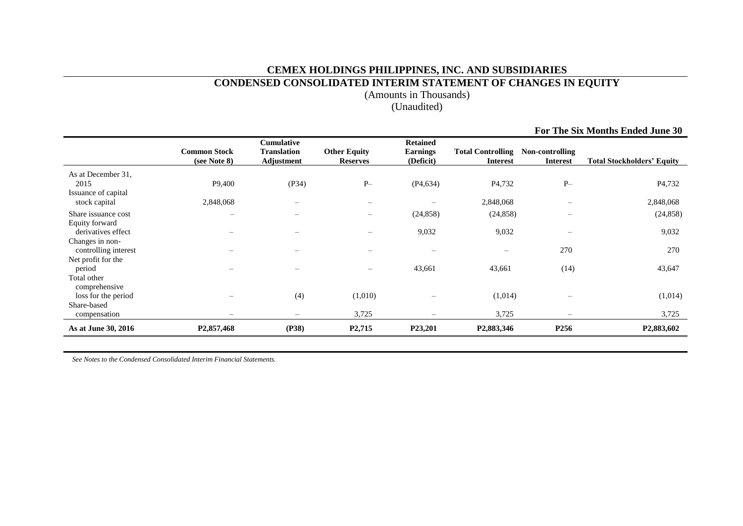# **CEMEX HOLDINGS PHILIPPINES, INC. AND SUBSIDIARIES**

# **CONDENSED CONSOLIDATED INTERIM STATEMENT OF CHANGES IN EQUITY**

(Amounts in Thousands)

(Unaudited)

|                                                                    |                                     |                                                |                                        |                                                 |                                             |                                    | For The Six Months Ended June 30  |
|--------------------------------------------------------------------|-------------------------------------|------------------------------------------------|----------------------------------------|-------------------------------------------------|---------------------------------------------|------------------------------------|-----------------------------------|
|                                                                    | <b>Common Stock</b><br>(see Note 8) | Cumulative<br><b>Translation</b><br>Adjustment | <b>Other Equity</b><br><b>Reserves</b> | <b>Retained</b><br><b>Earnings</b><br>(Deficit) | <b>Total Controlling</b><br><b>Interest</b> | Non-controlling<br><b>Interest</b> | <b>Total Stockholders' Equity</b> |
| As at December 31,<br>2015<br>Issuance of capital<br>stock capital | P9,400<br>2,848,068                 | (P34)                                          | $P-$<br>$\overline{\phantom{0}}$       | (P4, 634)                                       | P <sub>4</sub> ,732<br>2,848,068            | $P-$                               | P <sub>4</sub> ,732<br>2,848,068  |
| Share issuance cost<br>Equity forward                              |                                     |                                                | -                                      | (24, 858)                                       | (24, 858)                                   |                                    | (24, 858)                         |
| derivatives effect<br>Changes in non-<br>controlling interest      |                                     |                                                |                                        | 9,032<br>$\overline{\phantom{m}}$               | 9,032                                       | 270                                | 9,032<br>270                      |
| Net profit for the<br>period                                       |                                     |                                                | -                                      | 43,661                                          | 43,661                                      | (14)                               | 43,647                            |
| Total other<br>comprehensive<br>loss for the period                |                                     | (4)                                            | (1,010)                                |                                                 | (1,014)                                     |                                    | (1,014)                           |
| Share-based<br>compensation                                        |                                     | $\overline{\phantom{0}}$                       | 3,725                                  | $\overline{\phantom{0}}$                        | 3,725                                       | $\qquad \qquad -$                  | 3,725                             |
| As at June 30, 2016                                                | P <sub>2</sub> ,857,468             | (P38)                                          | P <sub>2</sub> ,715                    | P23,201                                         | P <sub>2</sub> ,883,346                     | P256                               | P <sub>2</sub> ,883,602           |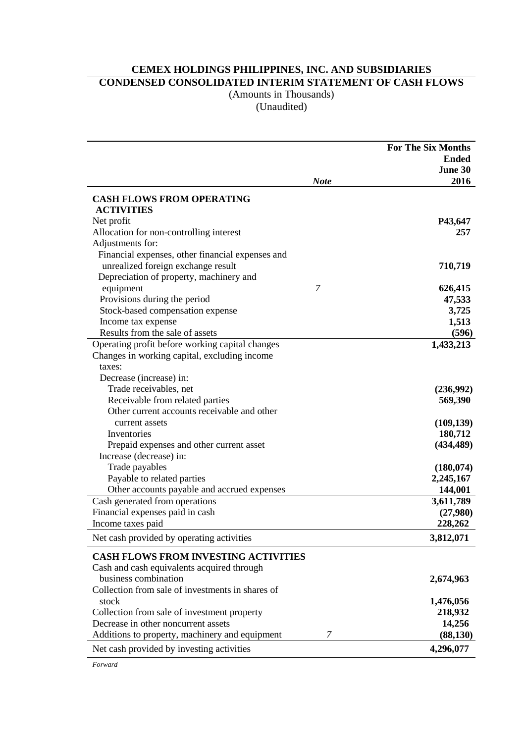# **CEMEX HOLDINGS PHILIPPINES, INC. AND SUBSIDIARIES**

**CONDENSED CONSOLIDATED INTERIM STATEMENT OF CASH FLOWS**

(Amounts in Thousands)

(Unaudited)

| <b>Ended</b><br>June 30<br>2016<br><b>Note</b><br><b>CASH FLOWS FROM OPERATING</b><br><b>ACTIVITIES</b><br>P43,647<br>Net profit<br>Allocation for non-controlling interest<br>257<br>Adjustments for:<br>Financial expenses, other financial expenses and<br>unrealized foreign exchange result<br>710,719<br>Depreciation of property, machinery and<br>$\overline{7}$<br>equipment<br>626,415<br>Provisions during the period<br>47,533<br>Stock-based compensation expense<br>3,725<br>Income tax expense<br>1,513<br>Results from the sale of assets<br>(596)<br>Operating profit before working capital changes<br>1,433,213<br>Changes in working capital, excluding income<br>taxes:<br>Decrease (increase) in:<br>Trade receivables, net<br>(236,992)<br>Receivable from related parties<br>569,390<br>Other current accounts receivable and other<br>(109, 139)<br>current assets<br>Inventories<br>180,712<br>Prepaid expenses and other current asset<br>(434, 489)<br>Increase (decrease) in:<br>Trade payables<br>(180, 074)<br>Payable to related parties<br>2,245,167<br>Other accounts payable and accrued expenses<br>144,001<br>Cash generated from operations<br>3,611,789<br>Financial expenses paid in cash<br>(27,980)<br>Income taxes paid<br>228,262<br>Net cash provided by operating activities<br>3,812,071<br><b>CASH FLOWS FROM INVESTING ACTIVITIES</b><br>Cash and cash equivalents acquired through<br>business combination<br>2,674,963<br>Collection from sale of investments in shares of<br>stock<br>1,476,056 |  | <b>For The Six Months</b> |
|-----------------------------------------------------------------------------------------------------------------------------------------------------------------------------------------------------------------------------------------------------------------------------------------------------------------------------------------------------------------------------------------------------------------------------------------------------------------------------------------------------------------------------------------------------------------------------------------------------------------------------------------------------------------------------------------------------------------------------------------------------------------------------------------------------------------------------------------------------------------------------------------------------------------------------------------------------------------------------------------------------------------------------------------------------------------------------------------------------------------------------------------------------------------------------------------------------------------------------------------------------------------------------------------------------------------------------------------------------------------------------------------------------------------------------------------------------------------------------------------------------------------------------------------------------|--|---------------------------|
|                                                                                                                                                                                                                                                                                                                                                                                                                                                                                                                                                                                                                                                                                                                                                                                                                                                                                                                                                                                                                                                                                                                                                                                                                                                                                                                                                                                                                                                                                                                                                     |  |                           |
|                                                                                                                                                                                                                                                                                                                                                                                                                                                                                                                                                                                                                                                                                                                                                                                                                                                                                                                                                                                                                                                                                                                                                                                                                                                                                                                                                                                                                                                                                                                                                     |  |                           |
|                                                                                                                                                                                                                                                                                                                                                                                                                                                                                                                                                                                                                                                                                                                                                                                                                                                                                                                                                                                                                                                                                                                                                                                                                                                                                                                                                                                                                                                                                                                                                     |  |                           |
|                                                                                                                                                                                                                                                                                                                                                                                                                                                                                                                                                                                                                                                                                                                                                                                                                                                                                                                                                                                                                                                                                                                                                                                                                                                                                                                                                                                                                                                                                                                                                     |  |                           |
|                                                                                                                                                                                                                                                                                                                                                                                                                                                                                                                                                                                                                                                                                                                                                                                                                                                                                                                                                                                                                                                                                                                                                                                                                                                                                                                                                                                                                                                                                                                                                     |  |                           |
|                                                                                                                                                                                                                                                                                                                                                                                                                                                                                                                                                                                                                                                                                                                                                                                                                                                                                                                                                                                                                                                                                                                                                                                                                                                                                                                                                                                                                                                                                                                                                     |  |                           |
|                                                                                                                                                                                                                                                                                                                                                                                                                                                                                                                                                                                                                                                                                                                                                                                                                                                                                                                                                                                                                                                                                                                                                                                                                                                                                                                                                                                                                                                                                                                                                     |  |                           |
|                                                                                                                                                                                                                                                                                                                                                                                                                                                                                                                                                                                                                                                                                                                                                                                                                                                                                                                                                                                                                                                                                                                                                                                                                                                                                                                                                                                                                                                                                                                                                     |  |                           |
|                                                                                                                                                                                                                                                                                                                                                                                                                                                                                                                                                                                                                                                                                                                                                                                                                                                                                                                                                                                                                                                                                                                                                                                                                                                                                                                                                                                                                                                                                                                                                     |  |                           |
|                                                                                                                                                                                                                                                                                                                                                                                                                                                                                                                                                                                                                                                                                                                                                                                                                                                                                                                                                                                                                                                                                                                                                                                                                                                                                                                                                                                                                                                                                                                                                     |  |                           |
|                                                                                                                                                                                                                                                                                                                                                                                                                                                                                                                                                                                                                                                                                                                                                                                                                                                                                                                                                                                                                                                                                                                                                                                                                                                                                                                                                                                                                                                                                                                                                     |  |                           |
|                                                                                                                                                                                                                                                                                                                                                                                                                                                                                                                                                                                                                                                                                                                                                                                                                                                                                                                                                                                                                                                                                                                                                                                                                                                                                                                                                                                                                                                                                                                                                     |  |                           |
|                                                                                                                                                                                                                                                                                                                                                                                                                                                                                                                                                                                                                                                                                                                                                                                                                                                                                                                                                                                                                                                                                                                                                                                                                                                                                                                                                                                                                                                                                                                                                     |  |                           |
|                                                                                                                                                                                                                                                                                                                                                                                                                                                                                                                                                                                                                                                                                                                                                                                                                                                                                                                                                                                                                                                                                                                                                                                                                                                                                                                                                                                                                                                                                                                                                     |  |                           |
|                                                                                                                                                                                                                                                                                                                                                                                                                                                                                                                                                                                                                                                                                                                                                                                                                                                                                                                                                                                                                                                                                                                                                                                                                                                                                                                                                                                                                                                                                                                                                     |  |                           |
|                                                                                                                                                                                                                                                                                                                                                                                                                                                                                                                                                                                                                                                                                                                                                                                                                                                                                                                                                                                                                                                                                                                                                                                                                                                                                                                                                                                                                                                                                                                                                     |  |                           |
|                                                                                                                                                                                                                                                                                                                                                                                                                                                                                                                                                                                                                                                                                                                                                                                                                                                                                                                                                                                                                                                                                                                                                                                                                                                                                                                                                                                                                                                                                                                                                     |  |                           |
|                                                                                                                                                                                                                                                                                                                                                                                                                                                                                                                                                                                                                                                                                                                                                                                                                                                                                                                                                                                                                                                                                                                                                                                                                                                                                                                                                                                                                                                                                                                                                     |  |                           |
|                                                                                                                                                                                                                                                                                                                                                                                                                                                                                                                                                                                                                                                                                                                                                                                                                                                                                                                                                                                                                                                                                                                                                                                                                                                                                                                                                                                                                                                                                                                                                     |  |                           |
|                                                                                                                                                                                                                                                                                                                                                                                                                                                                                                                                                                                                                                                                                                                                                                                                                                                                                                                                                                                                                                                                                                                                                                                                                                                                                                                                                                                                                                                                                                                                                     |  |                           |
|                                                                                                                                                                                                                                                                                                                                                                                                                                                                                                                                                                                                                                                                                                                                                                                                                                                                                                                                                                                                                                                                                                                                                                                                                                                                                                                                                                                                                                                                                                                                                     |  |                           |
|                                                                                                                                                                                                                                                                                                                                                                                                                                                                                                                                                                                                                                                                                                                                                                                                                                                                                                                                                                                                                                                                                                                                                                                                                                                                                                                                                                                                                                                                                                                                                     |  |                           |
|                                                                                                                                                                                                                                                                                                                                                                                                                                                                                                                                                                                                                                                                                                                                                                                                                                                                                                                                                                                                                                                                                                                                                                                                                                                                                                                                                                                                                                                                                                                                                     |  |                           |
|                                                                                                                                                                                                                                                                                                                                                                                                                                                                                                                                                                                                                                                                                                                                                                                                                                                                                                                                                                                                                                                                                                                                                                                                                                                                                                                                                                                                                                                                                                                                                     |  |                           |
|                                                                                                                                                                                                                                                                                                                                                                                                                                                                                                                                                                                                                                                                                                                                                                                                                                                                                                                                                                                                                                                                                                                                                                                                                                                                                                                                                                                                                                                                                                                                                     |  |                           |
|                                                                                                                                                                                                                                                                                                                                                                                                                                                                                                                                                                                                                                                                                                                                                                                                                                                                                                                                                                                                                                                                                                                                                                                                                                                                                                                                                                                                                                                                                                                                                     |  |                           |
|                                                                                                                                                                                                                                                                                                                                                                                                                                                                                                                                                                                                                                                                                                                                                                                                                                                                                                                                                                                                                                                                                                                                                                                                                                                                                                                                                                                                                                                                                                                                                     |  |                           |
|                                                                                                                                                                                                                                                                                                                                                                                                                                                                                                                                                                                                                                                                                                                                                                                                                                                                                                                                                                                                                                                                                                                                                                                                                                                                                                                                                                                                                                                                                                                                                     |  |                           |
|                                                                                                                                                                                                                                                                                                                                                                                                                                                                                                                                                                                                                                                                                                                                                                                                                                                                                                                                                                                                                                                                                                                                                                                                                                                                                                                                                                                                                                                                                                                                                     |  |                           |
|                                                                                                                                                                                                                                                                                                                                                                                                                                                                                                                                                                                                                                                                                                                                                                                                                                                                                                                                                                                                                                                                                                                                                                                                                                                                                                                                                                                                                                                                                                                                                     |  |                           |
|                                                                                                                                                                                                                                                                                                                                                                                                                                                                                                                                                                                                                                                                                                                                                                                                                                                                                                                                                                                                                                                                                                                                                                                                                                                                                                                                                                                                                                                                                                                                                     |  |                           |
|                                                                                                                                                                                                                                                                                                                                                                                                                                                                                                                                                                                                                                                                                                                                                                                                                                                                                                                                                                                                                                                                                                                                                                                                                                                                                                                                                                                                                                                                                                                                                     |  |                           |
|                                                                                                                                                                                                                                                                                                                                                                                                                                                                                                                                                                                                                                                                                                                                                                                                                                                                                                                                                                                                                                                                                                                                                                                                                                                                                                                                                                                                                                                                                                                                                     |  |                           |
|                                                                                                                                                                                                                                                                                                                                                                                                                                                                                                                                                                                                                                                                                                                                                                                                                                                                                                                                                                                                                                                                                                                                                                                                                                                                                                                                                                                                                                                                                                                                                     |  |                           |
|                                                                                                                                                                                                                                                                                                                                                                                                                                                                                                                                                                                                                                                                                                                                                                                                                                                                                                                                                                                                                                                                                                                                                                                                                                                                                                                                                                                                                                                                                                                                                     |  |                           |
|                                                                                                                                                                                                                                                                                                                                                                                                                                                                                                                                                                                                                                                                                                                                                                                                                                                                                                                                                                                                                                                                                                                                                                                                                                                                                                                                                                                                                                                                                                                                                     |  |                           |
|                                                                                                                                                                                                                                                                                                                                                                                                                                                                                                                                                                                                                                                                                                                                                                                                                                                                                                                                                                                                                                                                                                                                                                                                                                                                                                                                                                                                                                                                                                                                                     |  |                           |
|                                                                                                                                                                                                                                                                                                                                                                                                                                                                                                                                                                                                                                                                                                                                                                                                                                                                                                                                                                                                                                                                                                                                                                                                                                                                                                                                                                                                                                                                                                                                                     |  |                           |
|                                                                                                                                                                                                                                                                                                                                                                                                                                                                                                                                                                                                                                                                                                                                                                                                                                                                                                                                                                                                                                                                                                                                                                                                                                                                                                                                                                                                                                                                                                                                                     |  |                           |
| 218,932<br>Collection from sale of investment property                                                                                                                                                                                                                                                                                                                                                                                                                                                                                                                                                                                                                                                                                                                                                                                                                                                                                                                                                                                                                                                                                                                                                                                                                                                                                                                                                                                                                                                                                              |  |                           |
| Decrease in other noncurrent assets<br>14,256                                                                                                                                                                                                                                                                                                                                                                                                                                                                                                                                                                                                                                                                                                                                                                                                                                                                                                                                                                                                                                                                                                                                                                                                                                                                                                                                                                                                                                                                                                       |  |                           |
| Additions to property, machinery and equipment<br>(88, 130)<br>7                                                                                                                                                                                                                                                                                                                                                                                                                                                                                                                                                                                                                                                                                                                                                                                                                                                                                                                                                                                                                                                                                                                                                                                                                                                                                                                                                                                                                                                                                    |  |                           |
| Net cash provided by investing activities<br>4,296,077                                                                                                                                                                                                                                                                                                                                                                                                                                                                                                                                                                                                                                                                                                                                                                                                                                                                                                                                                                                                                                                                                                                                                                                                                                                                                                                                                                                                                                                                                              |  |                           |

*Forward*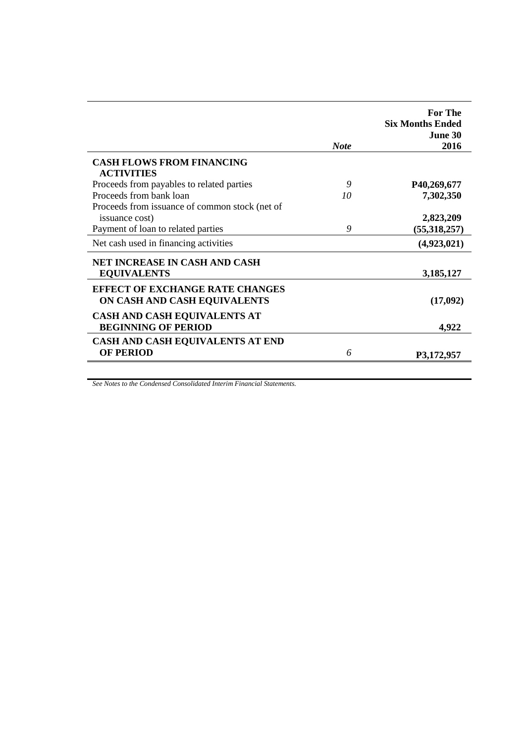|                                                       |             | <b>For The</b><br><b>Six Months Ended</b><br><b>June 30</b> |
|-------------------------------------------------------|-------------|-------------------------------------------------------------|
|                                                       | <b>Note</b> | 2016                                                        |
| <b>CASH FLOWS FROM FINANCING</b><br><b>ACTIVITIES</b> |             |                                                             |
| Proceeds from payables to related parties             | 9           | P40,269,677                                                 |
| Proceeds from bank loan                               | 10          | 7,302,350                                                   |
| Proceeds from issuance of common stock (net of        |             |                                                             |
| issuance cost)                                        |             | 2,823,209                                                   |
| Payment of loan to related parties                    | 9           | (55,318,257)                                                |
| Net cash used in financing activities                 |             | (4,923,021)                                                 |
| NET INCREASE IN CASH AND CASH                         |             |                                                             |
| <b>EQUIVALENTS</b>                                    |             | 3,185,127                                                   |
| <b>EFFECT OF EXCHANGE RATE CHANGES</b>                |             |                                                             |
| ON CASH AND CASH EQUIVALENTS                          |             | (17,092)                                                    |
| <b>CASH AND CASH EQUIVALENTS AT</b>                   |             |                                                             |
| <b>BEGINNING OF PERIOD</b>                            |             | 4,922                                                       |
| CASH AND CASH EQUIVALENTS AT END                      |             |                                                             |
| <b>OF PERIOD</b>                                      | 6           | P3,172,957                                                  |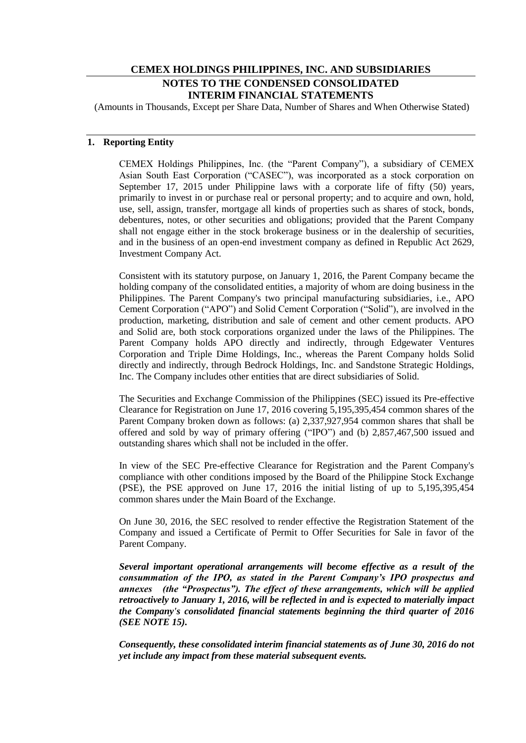# **CEMEX HOLDINGS PHILIPPINES, INC. AND SUBSIDIARIES NOTES TO THE CONDENSED CONSOLIDATED INTERIM FINANCIAL STATEMENTS**

(Amounts in Thousands, Except per Share Data, Number of Shares and When Otherwise Stated)

# **1. Reporting Entity**

CEMEX Holdings Philippines, Inc. (the "Parent Company"), a subsidiary of CEMEX Asian South East Corporation ("CASEC"), was incorporated as a stock corporation on September 17, 2015 under Philippine laws with a corporate life of fifty (50) years, primarily to invest in or purchase real or personal property; and to acquire and own, hold, use, sell, assign, transfer, mortgage all kinds of properties such as shares of stock, bonds, debentures, notes, or other securities and obligations; provided that the Parent Company shall not engage either in the stock brokerage business or in the dealership of securities, and in the business of an open-end investment company as defined in Republic Act 2629, Investment Company Act.

Consistent with its statutory purpose, on January 1, 2016, the Parent Company became the holding company of the consolidated entities, a majority of whom are doing business in the Philippines. The Parent Company's two principal manufacturing subsidiaries, i.e., APO Cement Corporation ("APO") and Solid Cement Corporation ("Solid"), are involved in the production, marketing, distribution and sale of cement and other cement products. APO and Solid are, both stock corporations organized under the laws of the Philippines. The Parent Company holds APO directly and indirectly, through Edgewater Ventures Corporation and Triple Dime Holdings, Inc., whereas the Parent Company holds Solid directly and indirectly, through Bedrock Holdings, Inc. and Sandstone Strategic Holdings, Inc. The Company includes other entities that are direct subsidiaries of Solid.

The Securities and Exchange Commission of the Philippines (SEC) issued its Pre-effective Clearance for Registration on June 17, 2016 covering 5,195,395,454 common shares of the Parent Company broken down as follows: (a) 2,337,927,954 common shares that shall be offered and sold by way of primary offering ("IPO") and (b) 2,857,467,500 issued and outstanding shares which shall not be included in the offer.

In view of the SEC Pre-effective Clearance for Registration and the Parent Company's compliance with other conditions imposed by the Board of the Philippine Stock Exchange (PSE), the PSE approved on June 17, 2016 the initial listing of up to 5,195,395,454 common shares under the Main Board of the Exchange.

On June 30, 2016, the SEC resolved to render effective the Registration Statement of the Company and issued a Certificate of Permit to Offer Securities for Sale in favor of the Parent Company.

*Several important operational arrangements will become effective as a result of the consummation of the IPO, as stated in the Parent Company's IPO prospectus and annexes (the "Prospectus"). The effect of these arrangements, which will be applied retroactively to January 1, 2016, will be reflected in and is expected to materially impact the Company's consolidated financial statements beginning the third quarter of 2016 (SEE NOTE 15).*

*Consequently, these consolidated interim financial statements as of June 30, 2016 do not yet include any impact from these material subsequent events.*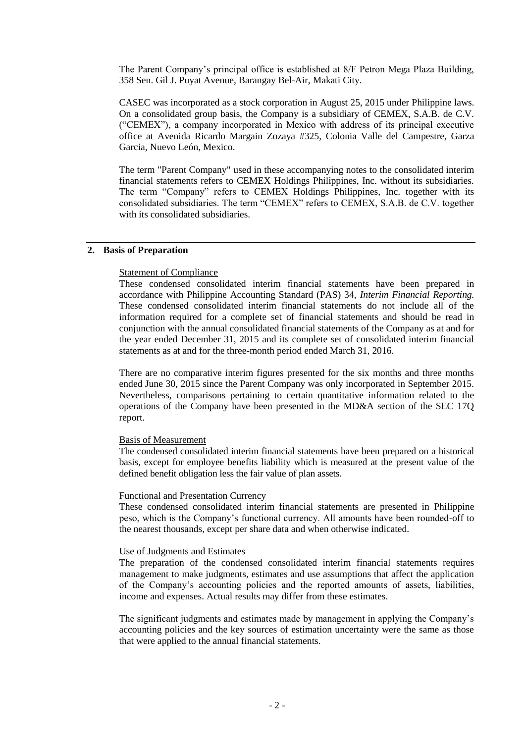The Parent Company"s principal office is established at 8/F Petron Mega Plaza Building, 358 Sen. Gil J. Puyat Avenue, Barangay Bel-Air, Makati City.

CASEC was incorporated as a stock corporation in August 25, 2015 under Philippine laws. On a consolidated group basis, the Company is a subsidiary of CEMEX, S.A.B. de C.V. ("CEMEX"), a company incorporated in Mexico with address of its principal executive office at Avenida Ricardo Margain Zozaya #325, Colonia Valle del Campestre, Garza Garcia, Nuevo León, Mexico.

The term "Parent Company" used in these accompanying notes to the consolidated interim financial statements refers to CEMEX Holdings Philippines, Inc. without its subsidiaries. The term "Company" refers to CEMEX Holdings Philippines, Inc. together with its consolidated subsidiaries. The term "CEMEX" refers to CEMEX, S.A.B. de C.V. together with its consolidated subsidiaries.

#### **2. Basis of Preparation**

#### **Statement of Compliance**

These condensed consolidated interim financial statements have been prepared in accordance with Philippine Accounting Standard (PAS) 34, *Interim Financial Reporting.*  These condensed consolidated interim financial statements do not include all of the information required for a complete set of financial statements and should be read in conjunction with the annual consolidated financial statements of the Company as at and for the year ended December 31, 2015 and its complete set of consolidated interim financial statements as at and for the three-month period ended March 31, 2016.

There are no comparative interim figures presented for the six months and three months ended June 30, 2015 since the Parent Company was only incorporated in September 2015. Nevertheless, comparisons pertaining to certain quantitative information related to the operations of the Company have been presented in the MD&A section of the SEC 17Q report.

#### Basis of Measurement

The condensed consolidated interim financial statements have been prepared on a historical basis, except for employee benefits liability which is measured at the present value of the defined benefit obligation less the fair value of plan assets.

#### Functional and Presentation Currency

These condensed consolidated interim financial statements are presented in Philippine peso, which is the Company"s functional currency. All amounts have been rounded-off to the nearest thousands, except per share data and when otherwise indicated.

#### Use of Judgments and Estimates

The preparation of the condensed consolidated interim financial statements requires management to make judgments, estimates and use assumptions that affect the application of the Company"s accounting policies and the reported amounts of assets, liabilities, income and expenses. Actual results may differ from these estimates.

The significant judgments and estimates made by management in applying the Company"s accounting policies and the key sources of estimation uncertainty were the same as those that were applied to the annual financial statements.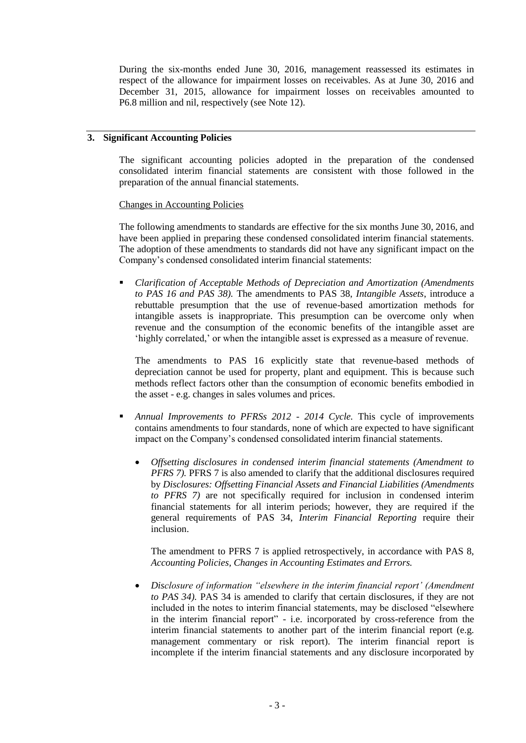During the six-months ended June 30, 2016, management reassessed its estimates in respect of the allowance for impairment losses on receivables. As at June 30, 2016 and December 31, 2015, allowance for impairment losses on receivables amounted to P6.8 million and nil, respectively (see Note 12).

# **3. Significant Accounting Policies**

The significant accounting policies adopted in the preparation of the condensed consolidated interim financial statements are consistent with those followed in the preparation of the annual financial statements.

#### Changes in Accounting Policies

The following amendments to standards are effective for the six months June 30, 2016, and have been applied in preparing these condensed consolidated interim financial statements. The adoption of these amendments to standards did not have any significant impact on the Company"s condensed consolidated interim financial statements:

 *Clarification of Acceptable Methods of Depreciation and Amortization (Amendments to PAS 16 and PAS 38).* The amendments to PAS 38, *Intangible Assets*, introduce a rebuttable presumption that the use of revenue-based amortization methods for intangible assets is inappropriate. This presumption can be overcome only when revenue and the consumption of the economic benefits of the intangible asset are 'highly correlated,' or when the intangible asset is expressed as a measure of revenue.

The amendments to PAS 16 explicitly state that revenue-based methods of depreciation cannot be used for property, plant and equipment. This is because such methods reflect factors other than the consumption of economic benefits embodied in the asset - e.g. changes in sales volumes and prices.

- *Annual Improvements to PFRSs 2012 - 2014 Cycle.* This cycle of improvements contains amendments to four standards, none of which are expected to have significant impact on the Company"s condensed consolidated interim financial statements.
	- *Offsetting disclosures in condensed interim financial statements (Amendment to PFRS 7).* PFRS 7 is also amended to clarify that the additional disclosures required by *Disclosures: Offsetting Financial Assets and Financial Liabilities (Amendments to PFRS 7)* are not specifically required for inclusion in condensed interim financial statements for all interim periods; however, they are required if the general requirements of PAS 34, *Interim Financial Reporting* require their inclusion.

The amendment to PFRS 7 is applied retrospectively, in accordance with PAS 8, *Accounting Policies, Changes in Accounting Estimates and Errors.*

 *Disclosure of information "elsewhere in the interim financial report' (Amendment to PAS 34).* PAS 34 is amended to clarify that certain disclosures, if they are not included in the notes to interim financial statements, may be disclosed "elsewhere in the interim financial report" - i.e. incorporated by cross-reference from the interim financial statements to another part of the interim financial report (e.g. management commentary or risk report). The interim financial report is incomplete if the interim financial statements and any disclosure incorporated by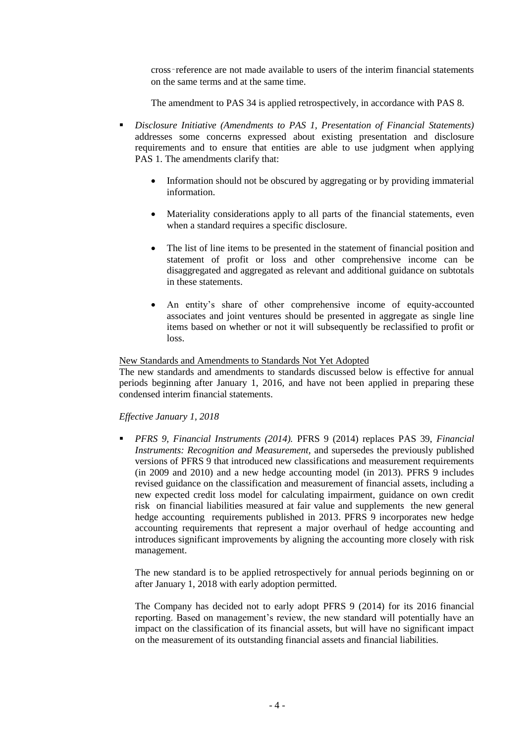cross‑reference are not made available to users of the interim financial statements on the same terms and at the same time.

The amendment to PAS 34 is applied retrospectively, in accordance with PAS 8.

- *Disclosure Initiative (Amendments to PAS 1, Presentation of Financial Statements)*  addresses some concerns expressed about existing presentation and disclosure requirements and to ensure that entities are able to use judgment when applying PAS 1. The amendments clarify that:
	- Information should not be obscured by aggregating or by providing immaterial information.
	- Materiality considerations apply to all parts of the financial statements, even when a standard requires a specific disclosure.
	- The list of line items to be presented in the statement of financial position and statement of profit or loss and other comprehensive income can be disaggregated and aggregated as relevant and additional guidance on subtotals in these statements.
	- An entity"s share of other comprehensive income of equity-accounted associates and joint ventures should be presented in aggregate as single line items based on whether or not it will subsequently be reclassified to profit or loss.

#### New Standards and Amendments to Standards Not Yet Adopted

The new standards and amendments to standards discussed below is effective for annual periods beginning after January 1, 2016, and have not been applied in preparing these condensed interim financial statements.

# *Effective January 1, 2018*

 *PFRS 9, Financial Instruments (2014).* PFRS 9 (2014) replaces PAS 39, *Financial Instruments: Recognition and Measurement,* and supersedes the previously published versions of PFRS 9 that introduced new classifications and measurement requirements (in 2009 and 2010) and a new hedge accounting model (in 2013). PFRS 9 includes revised guidance on the classification and measurement of financial assets, including a new expected credit loss model for calculating impairment, guidance on own credit risk on financial liabilities measured at fair value and supplements the new general hedge accounting requirements published in 2013. PFRS 9 incorporates new hedge accounting requirements that represent a major overhaul of hedge accounting and introduces significant improvements by aligning the accounting more closely with risk management.

The new standard is to be applied retrospectively for annual periods beginning on or after January 1, 2018 with early adoption permitted.

The Company has decided not to early adopt PFRS 9 (2014) for its 2016 financial reporting. Based on management's review, the new standard will potentially have an impact on the classification of its financial assets, but will have no significant impact on the measurement of its outstanding financial assets and financial liabilities.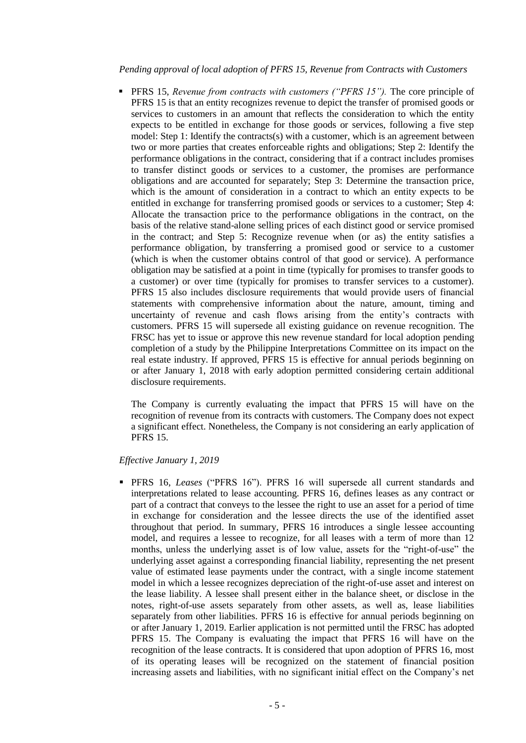*Pending approval of local adoption of PFRS 15, Revenue from Contracts with Customers*

 PFRS 15, *Revenue from contracts with customers ("PFRS 15").* The core principle of PFRS 15 is that an entity recognizes revenue to depict the transfer of promised goods or services to customers in an amount that reflects the consideration to which the entity expects to be entitled in exchange for those goods or services, following a five step model: Step 1: Identify the contracts(s) with a customer, which is an agreement between two or more parties that creates enforceable rights and obligations; Step 2: Identify the performance obligations in the contract, considering that if a contract includes promises to transfer distinct goods or services to a customer, the promises are performance obligations and are accounted for separately; Step 3: Determine the transaction price, which is the amount of consideration in a contract to which an entity expects to be entitled in exchange for transferring promised goods or services to a customer; Step 4: Allocate the transaction price to the performance obligations in the contract, on the basis of the relative stand-alone selling prices of each distinct good or service promised in the contract; and Step 5: Recognize revenue when (or as) the entity satisfies a performance obligation, by transferring a promised good or service to a customer (which is when the customer obtains control of that good or service). A performance obligation may be satisfied at a point in time (typically for promises to transfer goods to a customer) or over time (typically for promises to transfer services to a customer). PFRS 15 also includes disclosure requirements that would provide users of financial statements with comprehensive information about the nature, amount, timing and uncertainty of revenue and cash flows arising from the entity"s contracts with customers. PFRS 15 will supersede all existing guidance on revenue recognition. The FRSC has yet to issue or approve this new revenue standard for local adoption pending completion of a study by the Philippine Interpretations Committee on its impact on the real estate industry. If approved, PFRS 15 is effective for annual periods beginning on or after January 1, 2018 with early adoption permitted considering certain additional disclosure requirements.

The Company is currently evaluating the impact that PFRS 15 will have on the recognition of revenue from its contracts with customers. The Company does not expect a significant effect. Nonetheless, the Company is not considering an early application of PFRS 15.

# *Effective January 1, 2019*

 PFRS 16, *Leases* ("PFRS 16"). PFRS 16 will supersede all current standards and interpretations related to lease accounting. PFRS 16, defines leases as any contract or part of a contract that conveys to the lessee the right to use an asset for a period of time in exchange for consideration and the lessee directs the use of the identified asset throughout that period. In summary, PFRS 16 introduces a single lessee accounting model, and requires a lessee to recognize, for all leases with a term of more than 12 months, unless the underlying asset is of low value, assets for the "right-of-use" the underlying asset against a corresponding financial liability, representing the net present value of estimated lease payments under the contract, with a single income statement model in which a lessee recognizes depreciation of the right-of-use asset and interest on the lease liability. A lessee shall present either in the balance sheet, or disclose in the notes, right-of-use assets separately from other assets, as well as, lease liabilities separately from other liabilities. PFRS 16 is effective for annual periods beginning on or after January 1, 2019. Earlier application is not permitted until the FRSC has adopted PFRS 15. The Company is evaluating the impact that PFRS 16 will have on the recognition of the lease contracts. It is considered that upon adoption of PFRS 16, most of its operating leases will be recognized on the statement of financial position increasing assets and liabilities, with no significant initial effect on the Company"s net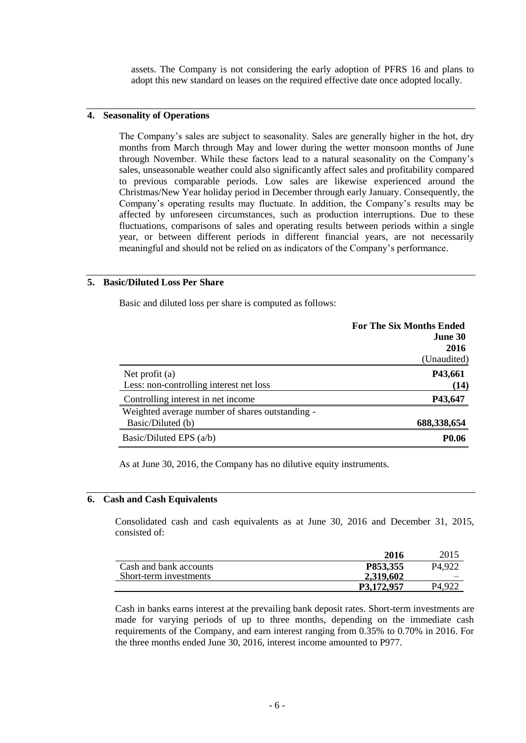assets. The Company is not considering the early adoption of PFRS 16 and plans to adopt this new standard on leases on the required effective date once adopted locally.

# **4. Seasonality of Operations**

The Company"s sales are subject to seasonality. Sales are generally higher in the hot, dry months from March through May and lower during the wetter monsoon months of June through November. While these factors lead to a natural seasonality on the Company"s sales, unseasonable weather could also significantly affect sales and profitability compared to previous comparable periods. Low sales are likewise experienced around the Christmas/New Year holiday period in December through early January. Consequently, the Company"s operating results may fluctuate. In addition, the Company"s results may be affected by unforeseen circumstances, such as production interruptions. Due to these fluctuations, comparisons of sales and operating results between periods within a single year, or between different periods in different financial years, are not necessarily meaningful and should not be relied on as indicators of the Company"s performance.

# **5. Basic/Diluted Loss Per Share**

Basic and diluted loss per share is computed as follows:

|                                                                      | <b>For The Six Months Ended</b><br>June 30<br>2016<br>(Unaudited) |
|----------------------------------------------------------------------|-------------------------------------------------------------------|
| Net profit $(a)$<br>Less: non-controlling interest net loss          | P43,661<br>(14)                                                   |
| Controlling interest in net income                                   | P43,647                                                           |
| Weighted average number of shares outstanding -<br>Basic/Diluted (b) | 688,338,654                                                       |
| Basic/Diluted EPS $(a/b)$                                            | <b>P0.06</b>                                                      |

As at June 30, 2016, the Company has no dilutive equity instruments.

## **6. Cash and Cash Equivalents**

Consolidated cash and cash equivalents as at June 30, 2016 and December 31, 2015, consisted of:

|                        | 2016       | 2015               |
|------------------------|------------|--------------------|
| Cash and bank accounts | P853,355   | P <sub>4.922</sub> |
| Short-term investments | 2,319,602  |                    |
|                        | P3.172.957 | P <sub>4.92</sub>  |

Cash in banks earns interest at the prevailing bank deposit rates. Short-term investments are made for varying periods of up to three months, depending on the immediate cash requirements of the Company, and earn interest ranging from 0.35% to 0.70% in 2016. For the three months ended June 30, 2016, interest income amounted to P977.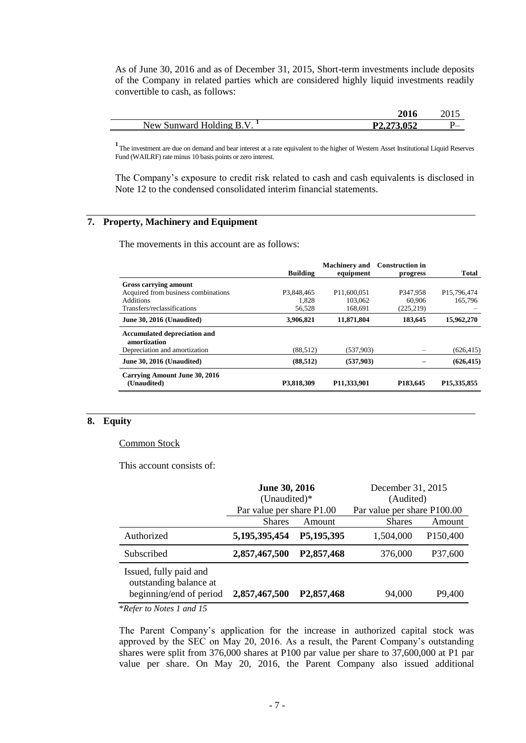As of June 30, 2016 and as of December 31, 2015, Short-term investments include deposits of the Company in related parties which are considered highly liquid investments readily convertible to cash, as follows:

|                           | 201        | 40 L J |
|---------------------------|------------|--------|
| Sunward Holding B.<br>New | P2,273,052 | ັບ_    |

<sup>1</sup> The investment are due on demand and bear interest at a rate equivalent to the higher of Western Asset Institutional Liquid Reserves Fund (WAILRF) rate minus 10 basis points or zero interest.

The Company's exposure to credit risk related to cash and cash equivalents is disclosed in Note 12 to the condensed consolidated interim financial statements.

# **7. Property, Machinery and Equipment**

The movements in this account are as follows:

|                                                     | Building   | <b>Machinery</b> and<br>equipment | <b>Construction in</b><br>progress | <b>Total</b>               |
|-----------------------------------------------------|------------|-----------------------------------|------------------------------------|----------------------------|
| Gross carrying amount                               |            |                                   |                                    |                            |
| Acquired from business combinations                 | P3.848.465 | P <sub>11.600.051</sub>           | P347.958                           | P <sub>15</sub> , 796, 474 |
| <b>Additions</b>                                    | 1.828      | 103,062                           | 60,906                             | 165.796                    |
| Transfers/reclassifications                         | 56,528     | 168,691                           | (225, 219)                         |                            |
| June 30, 2016 (Unaudited)                           | 3,906,821  | 11,871,804                        | 183,645                            | 15,962,270                 |
| <b>Accumulated depreciation and</b><br>amortization |            |                                   |                                    |                            |
| Depreciation and amortization                       | (88, 512)  | (537,903)                         |                                    | (626, 415)                 |
| June 30, 2016 (Unaudited)                           | (88, 512)  | (537,903)                         |                                    | (626, 415)                 |
| Carrying Amount June 30, 2016<br>(Unaudited)        | P3,818,309 | P11,333,901                       | P <sub>183</sub> , 645             | P <sub>15</sub> , 335, 855 |

# **8. Equity**

#### Common Stock

This account consists of:

|                                                                             | <b>June 30, 2016</b><br>(Unaudited)*<br>Par value per share P1.00 |                         | December 31, 2015<br>(Audited)               |                       |
|-----------------------------------------------------------------------------|-------------------------------------------------------------------|-------------------------|----------------------------------------------|-----------------------|
|                                                                             | <b>Shares</b>                                                     | Amount                  | Par value per share P100.00<br><b>Shares</b> | Amount                |
| Authorized                                                                  | 5, 195, 395, 454                                                  | P5,195,395              | 1,504,000                                    | P <sub>150</sub> ,400 |
| Subscribed                                                                  | 2,857,467,500                                                     | P <sub>2</sub> ,857,468 | 376,000                                      | P37,600               |
| Issued, fully paid and<br>outstanding balance at<br>beginning/end of period | 2,857,467,500                                                     | P <sub>2</sub> ,857,468 | 94,000                                       | P9,400                |
|                                                                             |                                                                   |                         |                                              |                       |

\**Refer to Notes 1 and 15*

The Parent Company's application for the increase in authorized capital stock was approved by the SEC on May 20, 2016. As a result, the Parent Company"s outstanding shares were split from 376,000 shares at P100 par value per share to 37,600,000 at P1 par value per share. On May 20, 2016, the Parent Company also issued additional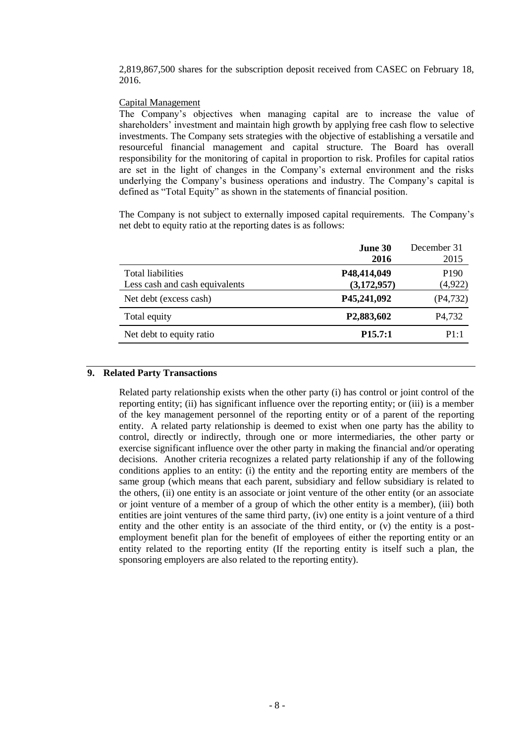2,819,867,500 shares for the subscription deposit received from CASEC on February 18, 2016.

## Capital Management

The Company"s objectives when managing capital are to increase the value of shareholders' investment and maintain high growth by applying free cash flow to selective investments. The Company sets strategies with the objective of establishing a versatile and resourceful financial management and capital structure. The Board has overall responsibility for the monitoring of capital in proportion to risk. Profiles for capital ratios are set in the light of changes in the Company"s external environment and the risks underlying the Company"s business operations and industry. The Company"s capital is defined as "Total Equity" as shown in the statements of financial position.

The Company is not subject to externally imposed capital requirements. The Company"s net debt to equity ratio at the reporting dates is as follows:

|                                | June 30                 | December 31         |
|--------------------------------|-------------------------|---------------------|
|                                | 2016                    | 2015                |
| <b>Total liabilities</b>       | P48,414,049             | P <sub>190</sub>    |
| Less cash and cash equivalents | (3,172,957)             | (4,922)             |
| Net debt (excess cash)         | P45,241,092             | (P4, 732)           |
| Total equity                   | P <sub>2</sub> ,883,602 | P <sub>4</sub> ,732 |
| Net debt to equity ratio       | P15.7:1                 | P1:1                |

# **9. Related Party Transactions**

Related party relationship exists when the other party (i) has control or joint control of the reporting entity; (ii) has significant influence over the reporting entity; or (iii) is a member of the key management personnel of the reporting entity or of a parent of the reporting entity. A related party relationship is deemed to exist when one party has the ability to control, directly or indirectly, through one or more intermediaries, the other party or exercise significant influence over the other party in making the financial and/or operating decisions. Another criteria recognizes a related party relationship if any of the following conditions applies to an entity: (i) the entity and the reporting entity are members of the same group (which means that each parent, subsidiary and fellow subsidiary is related to the others, (ii) one entity is an associate or joint venture of the other entity (or an associate or joint venture of a member of a group of which the other entity is a member), (iii) both entities are joint ventures of the same third party, (iv) one entity is a joint venture of a third entity and the other entity is an associate of the third entity, or (v) the entity is a postemployment benefit plan for the benefit of employees of either the reporting entity or an entity related to the reporting entity (If the reporting entity is itself such a plan, the sponsoring employers are also related to the reporting entity).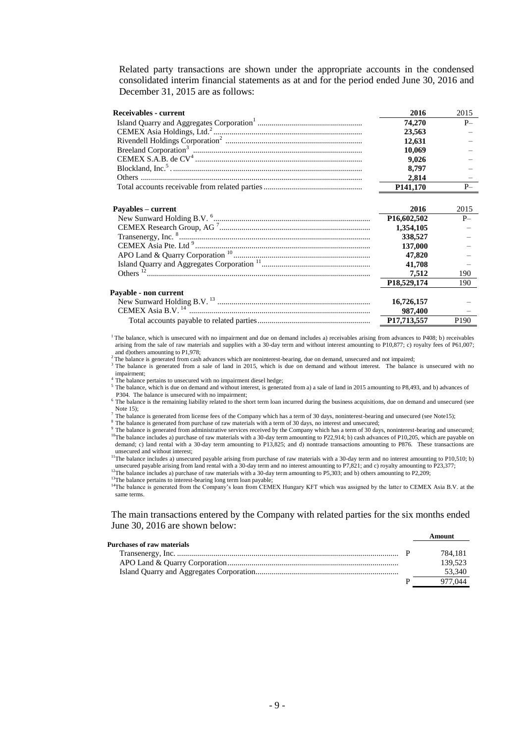Related party transactions are shown under the appropriate accounts in the condensed consolidated interim financial statements as at and for the period ended June 30, 2016 and December 31, 2015 are as follows:

| <b>Receivables - current</b> | 2016                     | 2015             |
|------------------------------|--------------------------|------------------|
|                              | 74.270                   | $P-$             |
|                              | 23,563                   |                  |
|                              | 12,631                   |                  |
|                              | 10,069                   |                  |
|                              | 9,026                    |                  |
|                              | 8,797                    |                  |
|                              | 2,814                    |                  |
|                              | P <sub>141</sub> ,170    | $P-$             |
|                              | 2016                     | 2015             |
| Payables – current           |                          |                  |
|                              | P <sub>16</sub> ,602,502 | $P-$             |
|                              | 1,354,105                |                  |
|                              | 338,527                  |                  |
|                              | 137,000                  |                  |
|                              | 47,820                   |                  |
|                              | 41,708                   |                  |
|                              | 7.512                    | 190              |
|                              | P <sub>18</sub> ,529,174 | 190              |
| Pavable - non current        |                          |                  |
|                              | 16,726,157               |                  |
|                              | 987,400                  |                  |
|                              | P17,713,557              | P <sub>190</sub> |

<sup>1</sup>The balance, which is unsecured with no impairment and due on demand includes a) receivables arising from advances to P408; b) receivables arising from the sale of raw materials and supplies with a 30-day term and without interest amounting to P10,877; c) royalty fees of P61,007; and d)others amounting to P1,978;

<sup>2</sup>The balance is generated from cash advances which are noninterest-bearing, due on demand, unsecured and not impaired;

<sup>3</sup> The balance is generated from a sale of land in 2015, which is due on demand and without interest. The balance is unsecured with no impairment;

<sup>4</sup> The balance pertains to unsecured with no impairment diesel hedge;

<sup>5</sup>The balance, which is due on demand and without interest, is generated from a) a sale of land in 2015 amounting to P8,493, and b) advances of P304. The balance is unsecured with no impairment;

<sup>6</sup> The balance is the remaining liability related to the short term loan incurred during the business acquisitions, due on demand and unsecured (see Note 15);

 $^7$  The balance is generated from license fees of the Company which has a term of 30 days, noninterest-bearing and unsecured (see Note15);

<sup>8</sup> The balance is generated from purchase of raw materials with a term of 30 days, no interest and unsecured;

<sup>9</sup>The balance is generated from administrative services received by the Company which has a term of 30 days, noninterest-bearing and unsecured; <sup>10</sup>The balance includes a) purchase of raw materials with a 30-day term amounting to P22,914; b) cash advances of P10,205, which are payable on demand; c) land rental with a 30-day term amounting to P13,825; and d) nontrade transactions amounting to P876. These transactions are unsecured and without interest:

<sup>11</sup>The balance includes a) unsecured payable arising from purchase of raw materials with a 30-day term and no interest amounting to P10,510; b) unsecured payable arising from land rental with a 30-day term and no interest amounting to P7,821; and c) royalty amounting to P23,377; <sup>12</sup>The balance includes a) purchase of raw materials with a 30-day term amounting to P5,303; and b) others amounting to P2,209;

<sup>13</sup>The balance pertains to interest-bearing long term loan payable;

<sup>14</sup>The balance is generated from the Company's loan from CEMEX Hungary KFT which was assigned by the latter to CEMEX Asia B.V. at the same terms.

The main transactions entered by the Company with related parties for the six months ended June 30, 2016 are shown below:

|                            | Amount  |
|----------------------------|---------|
| Purchases of raw materials |         |
|                            | 784.181 |
|                            | 139.523 |
|                            | 53,340  |
|                            | 977.044 |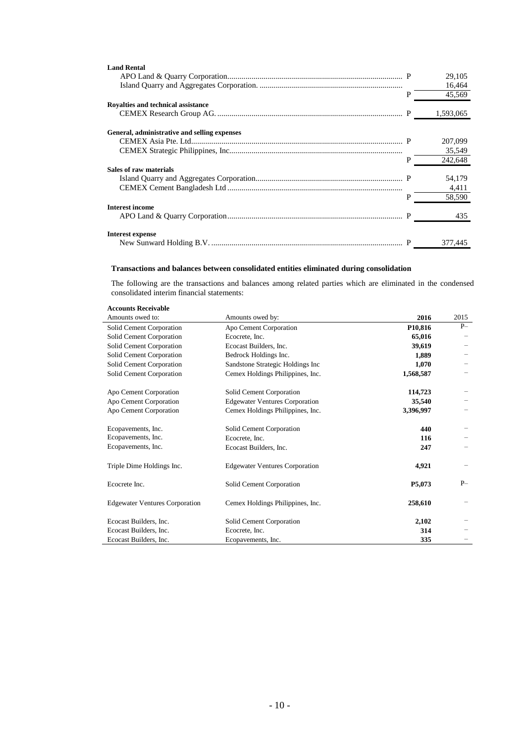| <b>Land Rental</b>                           |   |           |
|----------------------------------------------|---|-----------|
|                                              |   | 29,105    |
|                                              |   | 16,464    |
|                                              | P | 45,569    |
| Rovalties and technical assistance           |   |           |
|                                              |   | 1,593,065 |
|                                              |   |           |
| General, administrative and selling expenses |   |           |
|                                              |   | 207,099   |
|                                              |   | 35,549    |
|                                              | P | 242,648   |
| Sales of raw materials                       |   |           |
|                                              |   | 54,179    |
|                                              |   | 4,411     |
|                                              | P | 58,590    |
| <b>Interest income</b>                       |   |           |
|                                              |   | 435       |
|                                              |   |           |
| Interest expense                             |   |           |
|                                              |   | 377,445   |

#### **Transactions and balances between consolidated entities eliminated during consolidation**

The following are the transactions and balances among related parties which are eliminated in the condensed consolidated interim financial statements:

# **Accounts Receivable**

| Amounts owed to:                      | Amounts owed by:                      | 2016                 | 2015 |
|---------------------------------------|---------------------------------------|----------------------|------|
| Solid Cement Corporation              | Apo Cement Corporation                | P <sub>10</sub> ,816 | $P-$ |
| Solid Cement Corporation              | Ecocrete, Inc.                        | 65,016               |      |
| Solid Cement Corporation              | Ecocast Builders, Inc.                | 39,619               |      |
| Solid Cement Corporation              | Bedrock Holdings Inc.                 | 1,889                |      |
| Solid Cement Corporation              | Sandstone Strategic Holdings Inc      | 1,070                |      |
| Solid Cement Corporation              | Cemex Holdings Philippines, Inc.      | 1,568,587            |      |
| Apo Cement Corporation                | Solid Cement Corporation              | 114,723              |      |
| Apo Cement Corporation                | <b>Edgewater Ventures Corporation</b> | 35,540               |      |
| Apo Cement Corporation                | Cemex Holdings Philippines, Inc.      | 3,396,997            |      |
| Ecopavements, Inc.                    | Solid Cement Corporation              | 440                  |      |
| Ecopavements, Inc.                    | Ecocrete, Inc.                        | 116                  |      |
| Ecopavements, Inc.                    | Ecocast Builders, Inc.                | 247                  |      |
| Triple Dime Holdings Inc.             | <b>Edgewater Ventures Corporation</b> | 4,921                |      |
| Ecocrete Inc.                         | Solid Cement Corporation              | P5,073               | $P-$ |
| <b>Edgewater Ventures Corporation</b> | Cemex Holdings Philippines, Inc.      | 258,610              |      |
| Ecocast Builders, Inc.                | Solid Cement Corporation              | 2,102                |      |
| Ecocast Builders, Inc.                | Ecocrete, Inc.                        | 314                  |      |
| Ecocast Builders, Inc.                | Ecopavements, Inc.                    | 335                  |      |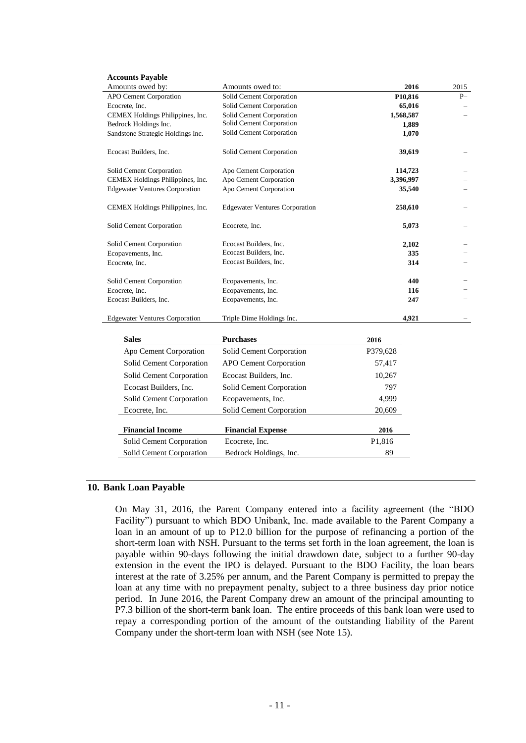| <b>Accounts Payable</b>               |                                       |           |      |
|---------------------------------------|---------------------------------------|-----------|------|
| Amounts owed by:                      | Amounts owed to:                      | 2016      | 2015 |
| APO Cement Corporation                | Solid Cement Corporation              | P10,816   | $P-$ |
| Ecocrete, Inc.                        | Solid Cement Corporation              | 65,016    |      |
| CEMEX Holdings Philippines, Inc.      | Solid Cement Corporation              | 1,568,587 |      |
| Bedrock Holdings Inc.                 | Solid Cement Corporation              | 1,889     |      |
| Sandstone Strategic Holdings Inc.     | Solid Cement Corporation              | 1,070     |      |
| Ecocast Builders, Inc.                | Solid Cement Corporation              | 39,619    |      |
| Solid Cement Corporation              | Apo Cement Corporation                | 114,723   |      |
| CEMEX Holdings Philippines, Inc.      | Apo Cement Corporation                | 3,396,997 |      |
| <b>Edgewater Ventures Corporation</b> | Apo Cement Corporation                | 35,540    |      |
| CEMEX Holdings Philippines, Inc.      | <b>Edgewater Ventures Corporation</b> | 258,610   |      |
| Solid Cement Corporation              | Ecocrete, Inc.                        | 5,073     |      |
| Solid Cement Corporation              | Ecocast Builders, Inc.                | 2,102     |      |
| Ecopavements, Inc.                    | Ecocast Builders, Inc.                | 335       |      |
| Ecocrete, Inc.                        | Ecocast Builders, Inc.                | 314       |      |
| Solid Cement Corporation              | Ecopavements, Inc.                    | 440       |      |
| Ecocrete, Inc.                        | Ecopavements, Inc.                    | 116       |      |
| Ecocast Builders, Inc.                | Ecopavements, Inc.                    | 247       |      |
| <b>Edgewater Ventures Corporation</b> | Triple Dime Holdings Inc.             | 4,921     |      |
| <b>Sales</b>                          | <b>Purchases</b>                      | 2016      |      |
| Apo Cement Corporation                | Solid Cement Corporation              | P379,628  |      |
| Solid Cement Corporation              | <b>APO Cement Corporation</b>         | 57,417    |      |
| Solid Cement Corporation              | Ecocast Builders, Inc.                | 10,267    |      |
| Ecocast Builders, Inc.                | Solid Cement Corporation              | 797       |      |
| Solid Cement Corporation              | Ecopavements, Inc.                    | 4,999     |      |
| Ecocrete, Inc.                        | Solid Cement Corporation              | 20,609    |      |
| <b>Financial Income</b>               | <b>Financial Expense</b>              | 2016      |      |
| Solid Cement Corporation              | Ecocrete, Inc.                        | P1,816    |      |
| Solid Cement Corporation              | Bedrock Holdings, Inc.                | 89        |      |

### **10. Bank Loan Payable**

On May 31, 2016, the Parent Company entered into a facility agreement (the "BDO Facility") pursuant to which BDO Unibank, Inc. made available to the Parent Company a loan in an amount of up to P12.0 billion for the purpose of refinancing a portion of the short-term loan with NSH. Pursuant to the terms set forth in the loan agreement, the loan is payable within 90-days following the initial drawdown date, subject to a further 90-day extension in the event the IPO is delayed. Pursuant to the BDO Facility, the loan bears interest at the rate of 3.25% per annum, and the Parent Company is permitted to prepay the loan at any time with no prepayment penalty, subject to a three business day prior notice period. In June 2016, the Parent Company drew an amount of the principal amounting to P7.3 billion of the short-term bank loan. The entire proceeds of this bank loan were used to repay a corresponding portion of the amount of the outstanding liability of the Parent Company under the short-term loan with NSH (see Note 15).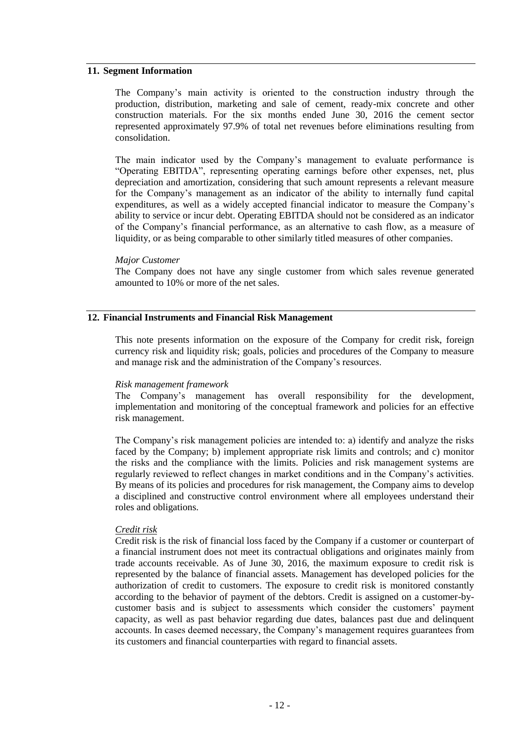# **11. Segment Information**

The Company"s main activity is oriented to the construction industry through the production, distribution, marketing and sale of cement, ready-mix concrete and other construction materials. For the six months ended June 30, 2016 the cement sector represented approximately 97.9% of total net revenues before eliminations resulting from consolidation.

The main indicator used by the Company's management to evaluate performance is "Operating EBITDA", representing operating earnings before other expenses, net, plus depreciation and amortization, considering that such amount represents a relevant measure for the Company"s management as an indicator of the ability to internally fund capital expenditures, as well as a widely accepted financial indicator to measure the Company"s ability to service or incur debt. Operating EBITDA should not be considered as an indicator of the Company"s financial performance, as an alternative to cash flow, as a measure of liquidity, or as being comparable to other similarly titled measures of other companies.

#### *Major Customer*

The Company does not have any single customer from which sales revenue generated amounted to 10% or more of the net sales.

### **12. Financial Instruments and Financial Risk Management**

This note presents information on the exposure of the Company for credit risk, foreign currency risk and liquidity risk; goals, policies and procedures of the Company to measure and manage risk and the administration of the Company"s resources.

#### *Risk management framework*

The Company"s management has overall responsibility for the development, implementation and monitoring of the conceptual framework and policies for an effective risk management.

The Company"s risk management policies are intended to: a) identify and analyze the risks faced by the Company; b) implement appropriate risk limits and controls; and c) monitor the risks and the compliance with the limits. Policies and risk management systems are regularly reviewed to reflect changes in market conditions and in the Company"s activities. By means of its policies and procedures for risk management, the Company aims to develop a disciplined and constructive control environment where all employees understand their roles and obligations.

#### *Credit risk*

Credit risk is the risk of financial loss faced by the Company if a customer or counterpart of a financial instrument does not meet its contractual obligations and originates mainly from trade accounts receivable. As of June 30, 2016, the maximum exposure to credit risk is represented by the balance of financial assets. Management has developed policies for the authorization of credit to customers. The exposure to credit risk is monitored constantly according to the behavior of payment of the debtors. Credit is assigned on a customer-bycustomer basis and is subject to assessments which consider the customers" payment capacity, as well as past behavior regarding due dates, balances past due and delinquent accounts. In cases deemed necessary, the Company"s management requires guarantees from its customers and financial counterparties with regard to financial assets.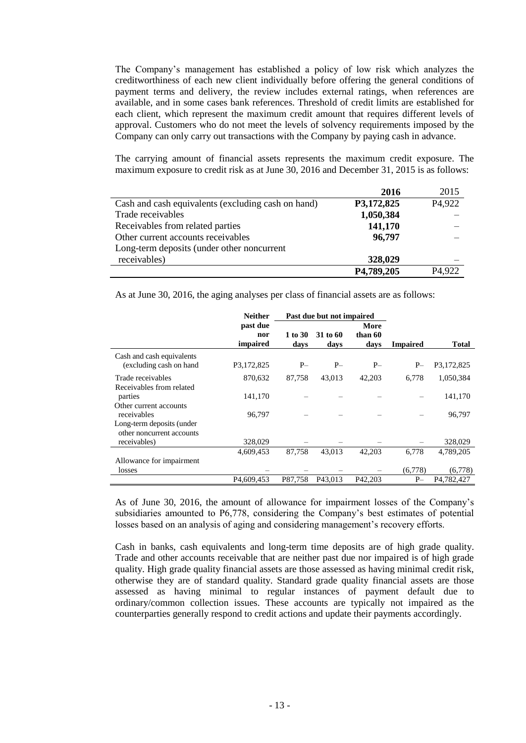The Company"s management has established a policy of low risk which analyzes the creditworthiness of each new client individually before offering the general conditions of payment terms and delivery, the review includes external ratings, when references are available, and in some cases bank references. Threshold of credit limits are established for each client, which represent the maximum credit amount that requires different levels of approval. Customers who do not meet the levels of solvency requirements imposed by the Company can only carry out transactions with the Company by paying cash in advance.

The carrying amount of financial assets represents the maximum credit exposure. The maximum exposure to credit risk as at June 30, 2016 and December 31, 2015 is as follows:

|                                                    | 2016       | 2015   |
|----------------------------------------------------|------------|--------|
| Cash and cash equivalents (excluding cash on hand) | P3,172,825 | P4,922 |
| Trade receivables                                  | 1,050,384  |        |
| Receivables from related parties                   | 141,170    |        |
| Other current accounts receivables                 | 96,797     |        |
| Long-term deposits (under other noncurrent         |            |        |
| receivables)                                       | 328,029    |        |
|                                                    | P4,789,205 | P4,922 |

As at June 30, 2016, the aging analyses per class of financial assets are as follows:

|                           | <b>Neither</b>          | Past due but not impaired |                     |         |                 |              |
|---------------------------|-------------------------|---------------------------|---------------------|---------|-----------------|--------------|
|                           | past due                |                           |                     | More    |                 |              |
|                           | nor                     | 1 to 30                   | 31 to 60            | than 60 |                 |              |
|                           | impaired                | days                      | days                | days    | <b>Impaired</b> | <b>Total</b> |
| Cash and cash equivalents |                         |                           |                     |         |                 |              |
| (excluding cash on hand   | P3,172,825              | $P-$                      | $P-$                | $P-$    | $P-$            | P3,172,825   |
| Trade receivables         | 870,632                 | 87,758                    | 43,013              | 42,203  | 6.778           | 1,050,384    |
| Receivables from related  |                         |                           |                     |         |                 |              |
| parties                   | 141,170                 |                           |                     |         |                 | 141,170      |
| Other current accounts    |                         |                           |                     |         |                 |              |
| receivables               | 96,797                  |                           |                     |         |                 | 96,797       |
| Long-term deposits (under |                         |                           |                     |         |                 |              |
| other noncurrent accounts |                         |                           |                     |         |                 |              |
| receivables)              | 328,029                 |                           |                     |         |                 | 328,029      |
|                           | 4,609,453               | 87,758                    | 43.013              | 42.203  | 6.778           | 4.789.205    |
| Allowance for impairment  |                         |                           |                     |         |                 |              |
| losses                    |                         |                           |                     |         | (6,778)         | (6,778)      |
|                           | P <sub>4</sub> ,609,453 | P87,758                   | P <sub>43.013</sub> | P42,203 | $P-$            | P4,782,427   |

As of June 30, 2016, the amount of allowance for impairment losses of the Company"s subsidiaries amounted to P6,778, considering the Company's best estimates of potential losses based on an analysis of aging and considering management's recovery efforts.

Cash in banks, cash equivalents and long-term time deposits are of high grade quality. Trade and other accounts receivable that are neither past due nor impaired is of high grade quality. High grade quality financial assets are those assessed as having minimal credit risk, otherwise they are of standard quality. Standard grade quality financial assets are those assessed as having minimal to regular instances of payment default due to ordinary/common collection issues. These accounts are typically not impaired as the counterparties generally respond to credit actions and update their payments accordingly.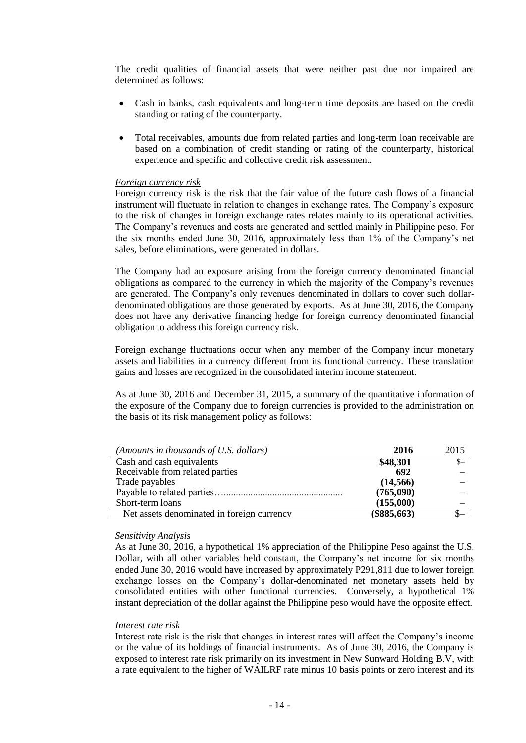The credit qualities of financial assets that were neither past due nor impaired are determined as follows:

- Cash in banks, cash equivalents and long-term time deposits are based on the credit standing or rating of the counterparty.
- Total receivables, amounts due from related parties and long-term loan receivable are based on a combination of credit standing or rating of the counterparty, historical experience and specific and collective credit risk assessment.

# *Foreign currency risk*

Foreign currency risk is the risk that the fair value of the future cash flows of a financial instrument will fluctuate in relation to changes in exchange rates. The Company's exposure to the risk of changes in foreign exchange rates relates mainly to its operational activities. The Company's revenues and costs are generated and settled mainly in Philippine peso. For the six months ended June 30, 2016, approximately less than 1% of the Company"s net sales, before eliminations, were generated in dollars.

The Company had an exposure arising from the foreign currency denominated financial obligations as compared to the currency in which the majority of the Company"s revenues are generated. The Company"s only revenues denominated in dollars to cover such dollardenominated obligations are those generated by exports. As at June 30, 2016, the Company does not have any derivative financing hedge for foreign currency denominated financial obligation to address this foreign currency risk.

Foreign exchange fluctuations occur when any member of the Company incur monetary assets and liabilities in a currency different from its functional currency. These translation gains and losses are recognized in the consolidated interim income statement.

As at June 30, 2016 and December 31, 2015, a summary of the quantitative information of the exposure of the Company due to foreign currencies is provided to the administration on the basis of its risk management policy as follows:

| (Amounts in thousands of U.S. dollars)     | 2016          | 2015 |
|--------------------------------------------|---------------|------|
| Cash and cash equivalents                  | \$48,301      | $S-$ |
| Receivable from related parties            | 692           |      |
| Trade payables                             | (14, 566)     |      |
|                                            | (765,090)     |      |
| Short-term loans                           | (155,000)     |      |
| Net assets denominated in foreign currency | $(\$885,663)$ |      |

#### *Sensitivity Analysis*

As at June 30, 2016, a hypothetical 1% appreciation of the Philippine Peso against the U.S. Dollar, with all other variables held constant, the Company"s net income for six months ended June 30, 2016 would have increased by approximately P291,811 due to lower foreign exchange losses on the Company"s dollar-denominated net monetary assets held by consolidated entities with other functional currencies. Conversely, a hypothetical 1% instant depreciation of the dollar against the Philippine peso would have the opposite effect.

# *Interest rate risk*

Interest rate risk is the risk that changes in interest rates will affect the Company"s income or the value of its holdings of financial instruments. As of June 30, 2016, the Company is exposed to interest rate risk primarily on its investment in New Sunward Holding B.V, with a rate equivalent to the higher of WAILRF rate minus 10 basis points or zero interest and its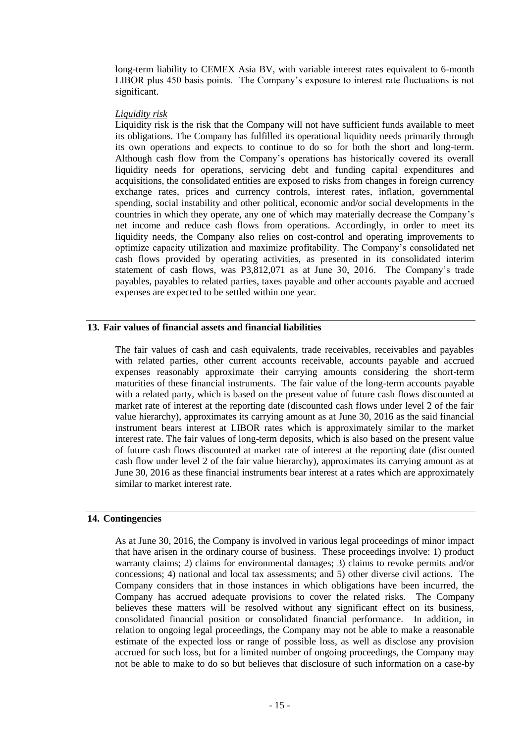long-term liability to CEMEX Asia BV, with variable interest rates equivalent to 6-month LIBOR plus 450 basis points. The Company"s exposure to interest rate fluctuations is not significant.

#### *Liquidity risk*

Liquidity risk is the risk that the Company will not have sufficient funds available to meet its obligations. The Company has fulfilled its operational liquidity needs primarily through its own operations and expects to continue to do so for both the short and long-term. Although cash flow from the Company"s operations has historically covered its overall liquidity needs for operations, servicing debt and funding capital expenditures and acquisitions, the consolidated entities are exposed to risks from changes in foreign currency exchange rates, prices and currency controls, interest rates, inflation, governmental spending, social instability and other political, economic and/or social developments in the countries in which they operate, any one of which may materially decrease the Company"s net income and reduce cash flows from operations. Accordingly, in order to meet its liquidity needs, the Company also relies on cost-control and operating improvements to optimize capacity utilization and maximize profitability. The Company"s consolidated net cash flows provided by operating activities, as presented in its consolidated interim statement of cash flows, was P3,812,071 as at June 30, 2016. The Company"s trade payables, payables to related parties, taxes payable and other accounts payable and accrued expenses are expected to be settled within one year.

# **13. Fair values of financial assets and financial liabilities**

The fair values of cash and cash equivalents, trade receivables, receivables and payables with related parties, other current accounts receivable, accounts payable and accrued expenses reasonably approximate their carrying amounts considering the short-term maturities of these financial instruments. The fair value of the long-term accounts payable with a related party, which is based on the present value of future cash flows discounted at market rate of interest at the reporting date (discounted cash flows under level 2 of the fair value hierarchy), approximates its carrying amount as at June 30, 2016 as the said financial instrument bears interest at LIBOR rates which is approximately similar to the market interest rate. The fair values of long-term deposits, which is also based on the present value of future cash flows discounted at market rate of interest at the reporting date (discounted cash flow under level 2 of the fair value hierarchy), approximates its carrying amount as at June 30, 2016 as these financial instruments bear interest at a rates which are approximately similar to market interest rate.

#### **14. Contingencies**

As at June 30, 2016, the Company is involved in various legal proceedings of minor impact that have arisen in the ordinary course of business. These proceedings involve: 1) product warranty claims; 2) claims for environmental damages; 3) claims to revoke permits and/or concessions; 4) national and local tax assessments; and 5) other diverse civil actions. The Company considers that in those instances in which obligations have been incurred, the Company has accrued adequate provisions to cover the related risks. The Company believes these matters will be resolved without any significant effect on its business, consolidated financial position or consolidated financial performance. In addition, in relation to ongoing legal proceedings, the Company may not be able to make a reasonable estimate of the expected loss or range of possible loss, as well as disclose any provision accrued for such loss, but for a limited number of ongoing proceedings, the Company may not be able to make to do so but believes that disclosure of such information on a case-by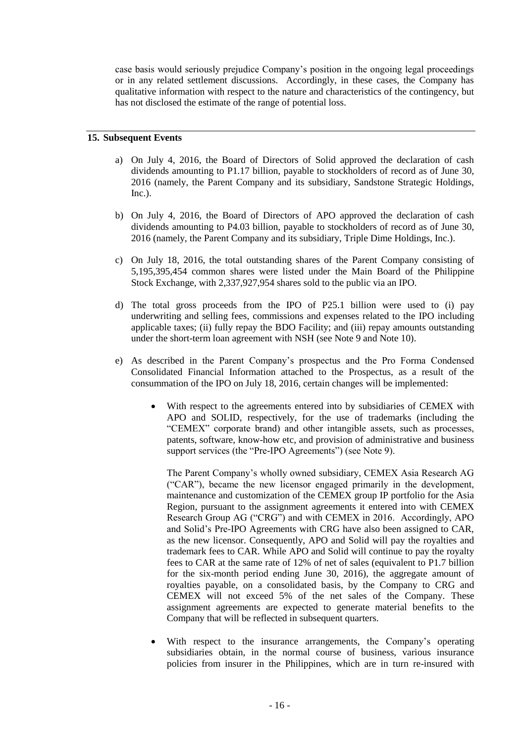case basis would seriously prejudice Company"s position in the ongoing legal proceedings or in any related settlement discussions. Accordingly, in these cases, the Company has qualitative information with respect to the nature and characteristics of the contingency, but has not disclosed the estimate of the range of potential loss.

## **15. Subsequent Events**

- a) On July 4, 2016, the Board of Directors of Solid approved the declaration of cash dividends amounting to P1.17 billion, payable to stockholders of record as of June 30, 2016 (namely, the Parent Company and its subsidiary, Sandstone Strategic Holdings,  $Inc.$ ).
- b) On July 4, 2016, the Board of Directors of APO approved the declaration of cash dividends amounting to P4.03 billion, payable to stockholders of record as of June 30, 2016 (namely, the Parent Company and its subsidiary, Triple Dime Holdings, Inc.).
- c) On July 18, 2016, the total outstanding shares of the Parent Company consisting of 5,195,395,454 common shares were listed under the Main Board of the Philippine Stock Exchange, with 2,337,927,954 shares sold to the public via an IPO.
- d) The total gross proceeds from the IPO of P25.1 billion were used to (i) pay underwriting and selling fees, commissions and expenses related to the IPO including applicable taxes; (ii) fully repay the BDO Facility; and (iii) repay amounts outstanding under the short-term loan agreement with NSH (see Note 9 and Note 10).
- e) As described in the Parent Company"s prospectus and the Pro Forma Condensed Consolidated Financial Information attached to the Prospectus, as a result of the consummation of the IPO on July 18, 2016, certain changes will be implemented:
	- With respect to the agreements entered into by subsidiaries of CEMEX with APO and SOLID, respectively, for the use of trademarks (including the "CEMEX" corporate brand) and other intangible assets, such as processes, patents, software, know-how etc, and provision of administrative and business support services (the "Pre-IPO Agreements") (see Note 9).

The Parent Company"s wholly owned subsidiary, CEMEX Asia Research AG ("CAR"), became the new licensor engaged primarily in the development, maintenance and customization of the CEMEX group IP portfolio for the Asia Region, pursuant to the assignment agreements it entered into with CEMEX Research Group AG ("CRG") and with CEMEX in 2016. Accordingly, APO and Solid"s Pre-IPO Agreements with CRG have also been assigned to CAR, as the new licensor. Consequently, APO and Solid will pay the royalties and trademark fees to CAR. While APO and Solid will continue to pay the royalty fees to CAR at the same rate of 12% of net of sales (equivalent to P1.7 billion for the six-month period ending June 30, 2016), the aggregate amount of royalties payable, on a consolidated basis, by the Company to CRG and CEMEX will not exceed 5% of the net sales of the Company. These assignment agreements are expected to generate material benefits to the Company that will be reflected in subsequent quarters.

With respect to the insurance arrangements, the Company's operating subsidiaries obtain, in the normal course of business, various insurance policies from insurer in the Philippines, which are in turn re-insured with